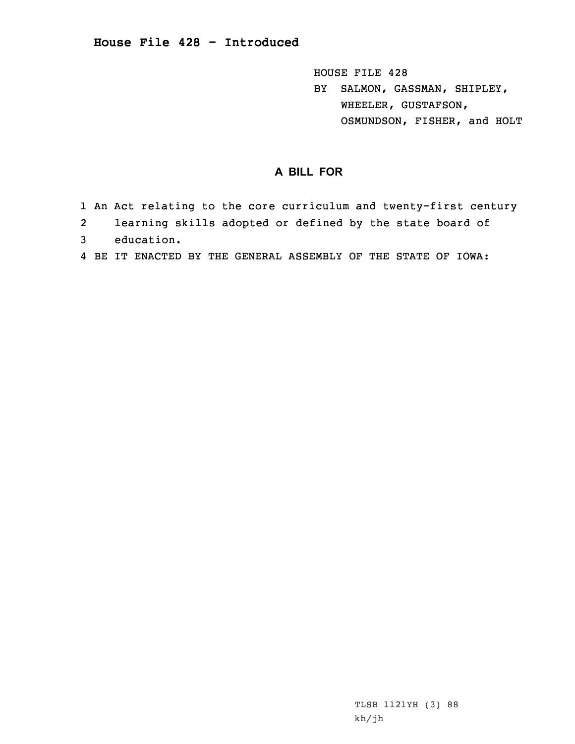**House File 428 - Introduced**

HOUSE FILE 428 BY SALMON, GASSMAN, SHIPLEY, WHEELER, GUSTAFSON, OSMUNDSON, FISHER, and HOLT

## **A BILL FOR**

- 1 An Act relating to the core curriculum and twenty-first century
- 2learning skills adopted or defined by the state board of
- 3 education.
- 4 BE IT ENACTED BY THE GENERAL ASSEMBLY OF THE STATE OF IOWA: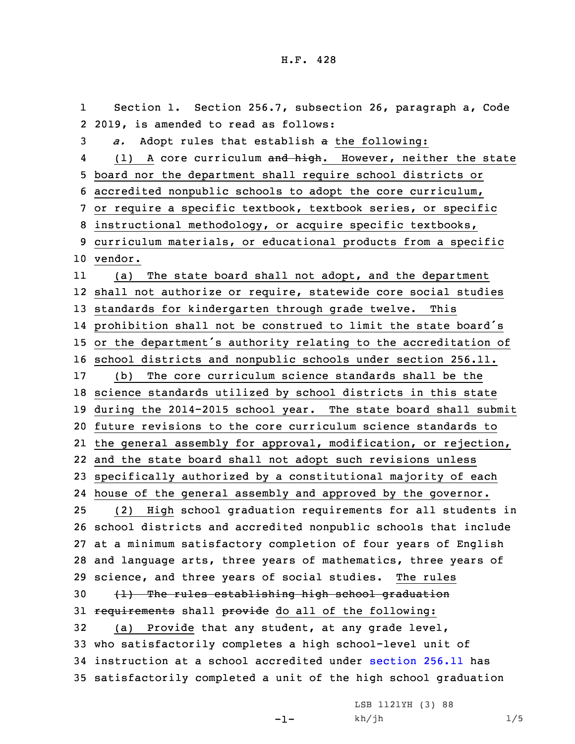1 Section 1. Section 256.7, subsection 26, paragraph a, Code 2019, is amended to read as follows: *a.* Adopt rules that establish <sup>a</sup> the following: 4(1) A core curriculum and high. However, neither the state board nor the department shall require school districts or accredited nonpublic schools to adopt the core curriculum, or require <sup>a</sup> specific textbook, textbook series, or specific instructional methodology, or acquire specific textbooks, curriculum materials, or educational products from <sup>a</sup> specific 10 vendor. 11 (a) The state board shall not adopt, and the department shall not authorize or require, statewide core social studies standards for kindergarten through grade twelve. This prohibition shall not be construed to limit the state board's or the department's authority relating to the accreditation of school districts and nonpublic schools under section 256.11. (b) The core curriculum science standards shall be the science standards utilized by school districts in this state during the 2014-2015 school year. The state board shall submit future revisions to the core curriculum science standards to the general assembly for approval, modification, or rejection, and the state board shall not adopt such revisions unless specifically authorized by <sup>a</sup> constitutional majority of each house of the general assembly and approved by the governor. (2) High school graduation requirements for all students in school districts and accredited nonpublic schools that include at <sup>a</sup> minimum satisfactory completion of four years of English and language arts, three years of mathematics, three years of science, and three years of social studies. The rules (1) The rules establishing high school graduation 31 requirements shall provide do all of the following: (a) Provide that any student, at any grade level, who satisfactorily completes <sup>a</sup> high school-level unit of instruction at <sup>a</sup> school accredited under [section](https://www.legis.iowa.gov/docs/code/2019/256.11.pdf) 256.11 has satisfactorily completed <sup>a</sup> unit of the high school graduation

-1-

LSB 1121YH (3) 88 kh/jh 1/5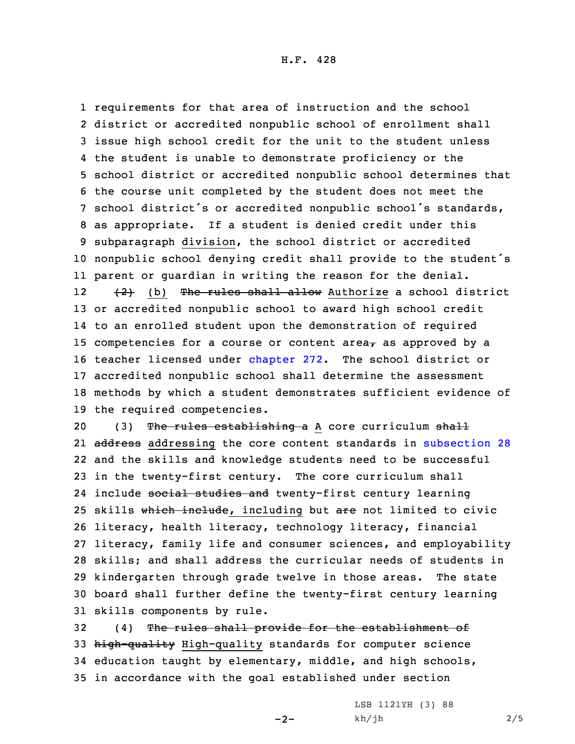requirements for that area of instruction and the school district or accredited nonpublic school of enrollment shall issue high school credit for the unit to the student unless the student is unable to demonstrate proficiency or the school district or accredited nonpublic school determines that the course unit completed by the student does not meet the school district's or accredited nonpublic school's standards, as appropriate. If <sup>a</sup> student is denied credit under this subparagraph division, the school district or accredited nonpublic school denying credit shall provide to the student's parent or guardian in writing the reason for the denial. 12 (2) (b) The rules shall allow Authorize <sup>a</sup> school district or accredited nonpublic school to award high school credit to an enrolled student upon the demonstration of required 15 competencies for a course or content area $<sub>\tau</sub>$  as approved by a</sub> teacher licensed under [chapter](https://www.legis.iowa.gov/docs/code/2019/272.pdf) 272. The school district or accredited nonpublic school shall determine the assessment methods by which <sup>a</sup> student demonstrates sufficient evidence of the required competencies.

20 (3) The rules establishing a A core curriculum shall 21 <del>address</del> addressing the core content standards in [subsection](https://www.legis.iowa.gov/docs/code/2019/256.7.pdf) 28 and the skills and knowledge students need to be successful in the twenty-first century. The core curriculum shall 24 include <del>social studies and</del> twenty-first century learning 25 skills which include, including but are not limited to civic literacy, health literacy, technology literacy, financial literacy, family life and consumer sciences, and employability skills; and shall address the curricular needs of students in kindergarten through grade twelve in those areas. The state board shall further define the twenty-first century learning skills components by rule.

32 (4) The rules shall provide for the establishment of high-quality High-quality standards for computer science education taught by elementary, middle, and high schools, in accordance with the goal established under section

 $-2-$ 

LSB 1121YH (3) 88  $kh/jh$  2/5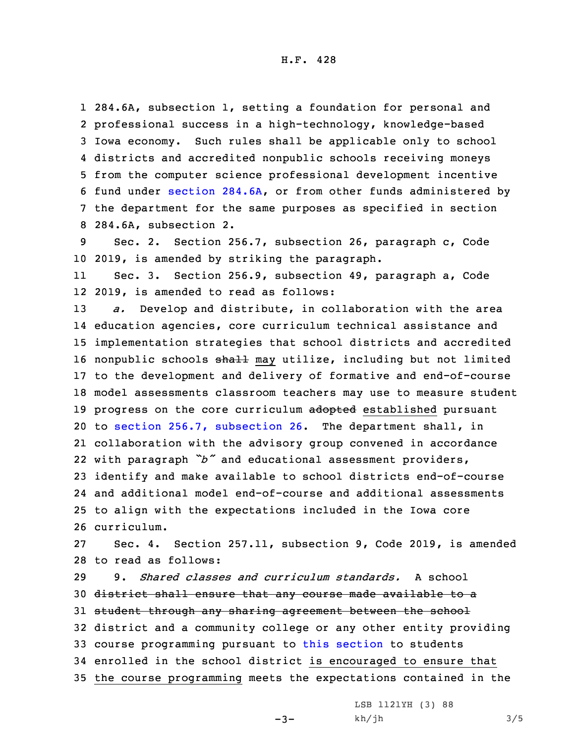284.6A, subsection 1, setting <sup>a</sup> foundation for personal and professional success in <sup>a</sup> high-technology, knowledge-based Iowa economy. Such rules shall be applicable only to school districts and accredited nonpublic schools receiving moneys from the computer science professional development incentive fund under section [284.6A](https://www.legis.iowa.gov/docs/code/2019/284.6A.pdf), or from other funds administered by the department for the same purposes as specified in section 284.6A, subsection 2.

9 Sec. 2. Section 256.7, subsection 26, paragraph c, Code 10 2019, is amended by striking the paragraph.

11 Sec. 3. Section 256.9, subsection 49, paragraph a, Code 12 2019, is amended to read as follows:

 *a.* Develop and distribute, in collaboration with the area education agencies, core curriculum technical assistance and implementation strategies that school districts and accredited 16 nonpublic schools shall may utilize, including but not limited to the development and delivery of formative and end-of-course model assessments classroom teachers may use to measure student 19 progress on the core curriculum adopted established pursuant to section 256.7, [subsection](https://www.legis.iowa.gov/docs/code/2019/256.7.pdf) 26. The department shall, in collaboration with the advisory group convened in accordance with paragraph *"b"* and educational assessment providers, identify and make available to school districts end-of-course and additional model end-of-course and additional assessments to align with the expectations included in the Iowa core curriculum.

27 Sec. 4. Section 257.11, subsection 9, Code 2019, is amended 28 to read as follows:

 9. *Shared classes and curriculum standards.* A school district shall ensure that any course made available to <sup>a</sup> 31 student through any sharing agreement between the school district and <sup>a</sup> community college or any other entity providing course programming pursuant to this [section](https://www.legis.iowa.gov/docs/code/2019/257.11.pdf) to students enrolled in the school district is encouraged to ensure that the course programming meets the expectations contained in the

 $-3-$ 

LSB 1121YH (3) 88  $kh/jh$  3/5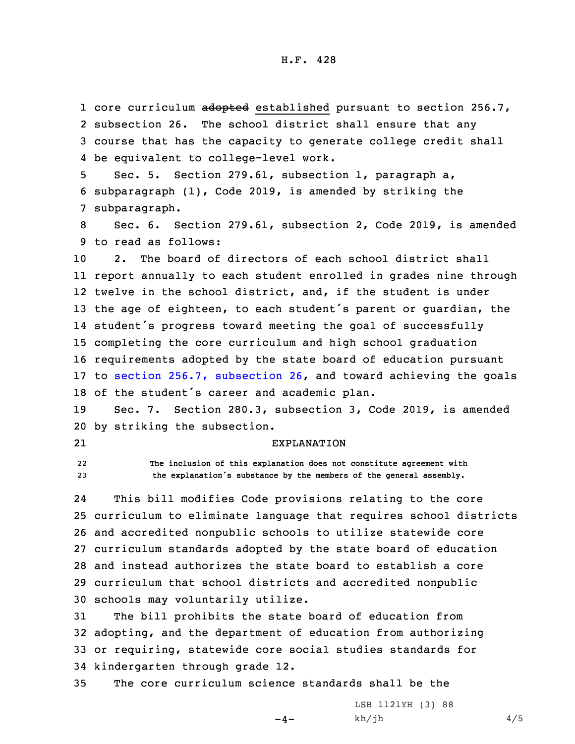1 core curriculum adopted established pursuant to section 256.7, subsection 26. The school district shall ensure that any course that has the capacity to generate college credit shall be equivalent to college-level work.

5 Sec. 5. Section 279.61, subsection 1, paragraph a, 6 subparagraph (1), Code 2019, is amended by striking the 7 subparagraph.

8 Sec. 6. Section 279.61, subsection 2, Code 2019, is amended 9 to read as follows:

 2. The board of directors of each school district shall report annually to each student enrolled in grades nine through twelve in the school district, and, if the student is under the age of eighteen, to each student's parent or guardian, the student's progress toward meeting the goal of successfully 15 completing the core curriculum and high school graduation requirements adopted by the state board of education pursuant to section 256.7, [subsection](https://www.legis.iowa.gov/docs/code/2019/256.7.pdf) 26, and toward achieving the goals of the student's career and academic plan.

19 Sec. 7. Section 280.3, subsection 3, Code 2019, is amended 20 by striking the subsection.

21

## EXPLANATION

22 **The inclusion of this explanation does not constitute agreement with** <sup>23</sup> **the explanation's substance by the members of the general assembly.**

24 This bill modifies Code provisions relating to the core curriculum to eliminate language that requires school districts and accredited nonpublic schools to utilize statewide core curriculum standards adopted by the state board of education and instead authorizes the state board to establish <sup>a</sup> core curriculum that school districts and accredited nonpublic schools may voluntarily utilize.

 The bill prohibits the state board of education from adopting, and the department of education from authorizing or requiring, statewide core social studies standards for kindergarten through grade 12.

 $-4-$ 

35 The core curriculum science standards shall be the

LSB 1121YH (3) 88  $kh/jh$  4/5